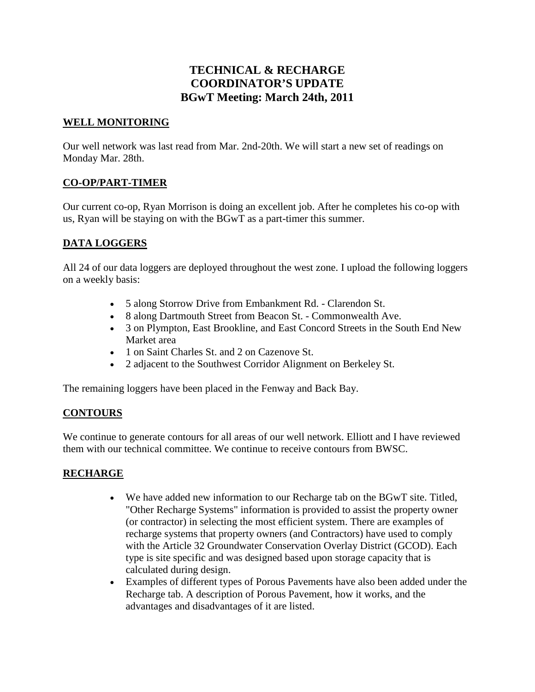# **TECHNICAL & RECHARGE COORDINATOR'S UPDATE BGwT Meeting: March 24th, 2011**

#### **WELL MONITORING**

Our well network was last read from Mar. 2nd-20th. We will start a new set of readings on Monday Mar. 28th.

### **CO-OP/PART-TIMER**

Our current co-op, Ryan Morrison is doing an excellent job. After he completes his co-op with us, Ryan will be staying on with the BGwT as a part-timer this summer.

### **DATA LOGGERS**

All 24 of our data loggers are deployed throughout the west zone. I upload the following loggers on a weekly basis:

- 5 along Storrow Drive from Embankment Rd. Clarendon St.
- 8 along Dartmouth Street from Beacon St. Commonwealth Ave.
- 3 on Plympton, East Brookline, and East Concord Streets in the South End New Market area
- 1 on Saint Charles St. and 2 on Cazenove St.
- 2 adjacent to the Southwest Corridor Alignment on Berkeley St.

The remaining loggers have been placed in the Fenway and Back Bay.

### **CONTOURS**

We continue to generate contours for all areas of our well network. Elliott and I have reviewed them with our technical committee. We continue to receive contours from BWSC.

### **RECHARGE**

- We have added new information to our Recharge tab on the BGwT site. Titled, "Other Recharge Systems" information is provided to assist the property owner (or contractor) in selecting the most efficient system. There are examples of recharge systems that property owners (and Contractors) have used to comply with the Article 32 Groundwater Conservation Overlay District (GCOD). Each type is site specific and was designed based upon storage capacity that is calculated during design.
- Examples of different types of Porous Pavements have also been added under the Recharge tab. A description of Porous Pavement, how it works, and the advantages and disadvantages of it are listed.